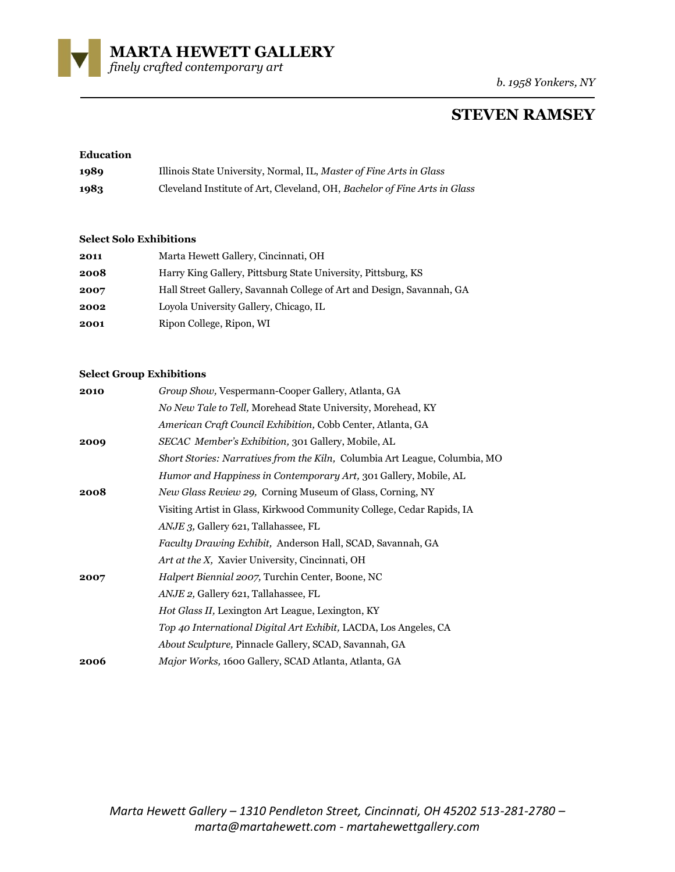**MARTA HEWETT GALLERY**  *finely crafted contemporary art* 

*b. 1958 Yonkers, NY*

# **STEVEN RAMSEY**

### **Education**

| 1989 | Illinois State University, Normal, IL, Master of Fine Arts in Glass       |
|------|---------------------------------------------------------------------------|
| 1983 | Cleveland Institute of Art, Cleveland, OH, Bachelor of Fine Arts in Glass |

## **Select Solo Exhibitions**

| Hall Street Gallery, Savannah College of Art and Design, Savannah, GA |
|-----------------------------------------------------------------------|
|                                                                       |
|                                                                       |
|                                                                       |

#### **Select Group Exhibitions**

| 2010 | Group Show, Vespermann-Cooper Gallery, Atlanta, GA                         |
|------|----------------------------------------------------------------------------|
|      | No New Tale to Tell, Morehead State University, Morehead, KY               |
|      | American Craft Council Exhibition, Cobb Center, Atlanta, GA                |
| 2009 | <i>SECAC Member's Exhibition, 301 Gallery, Mobile, AL</i>                  |
|      | Short Stories: Narratives from the Kiln, Columbia Art League, Columbia, MO |
|      | Humor and Happiness in Contemporary Art, 301 Gallery, Mobile, AL           |
| 2008 | New Glass Review 29, Corning Museum of Glass, Corning, NY                  |
|      | Visiting Artist in Glass, Kirkwood Community College, Cedar Rapids, IA     |
|      | <i>ANJE</i> 3, Gallery 621, Tallahassee, FL                                |
|      | Faculty Drawing Exhibit, Anderson Hall, SCAD, Savannah, GA                 |
|      | Art at the X, Xavier University, Cincinnati, OH                            |
| 2007 | Halpert Biennial 2007, Turchin Center, Boone, NC                           |
|      | ANJE 2, Gallery 621, Tallahassee, FL                                       |
|      | <i>Hot Glass II</i> , Lexington Art League, Lexington, KY                  |
|      | Top 40 International Digital Art Exhibit, LACDA, Los Angeles, CA           |
|      | About Sculpture, Pinnacle Gallery, SCAD, Savannah, GA                      |
| 2006 | Major Works, 1600 Gallery, SCAD Atlanta, Atlanta, GA                       |
|      |                                                                            |